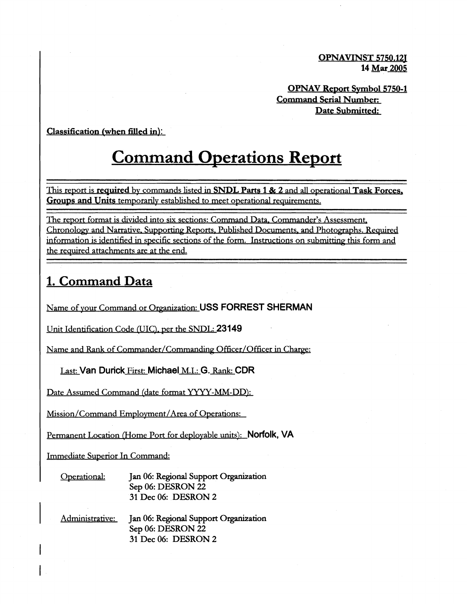**OPNAVINST 5750.121 14 Mar 2005** 

**OPNAV Report Symbol 5750-1 Command Serial Number: Date Submitted:** 

#### **Classification (when filled in):**

# **Command Operations Report**

This report is **required** by commands listed in **SNDL** Parts 1 & 2 and all operational Task Forces, Groups and Units temporarily established to meet operational requirements.

The report format is divided into six sections: Command Data. Commander's Assessment, Chronology and Narrative. Supporting Reports. Published Documents. and Photographs. Required information is identified in specific sections of the form. Instructions on submitting this form and the required attachments are at the end.

## **1. Command Data**

Name of vour Command or Oreanization: **USS FORREST SHERMAN** 

Unit Identification Code (UIC), per the SNDL: 23149

Name and Rank of Commander/Commanding Officer/Officer in Charge:

Last: **Van Durick** First: **Michael** M.I.: G. Rank: **CDR** 

Date Assumed Command (date format YYYY-MM-DD):

Mission/Command Employment/Area of Operations:

Permanent Location (Home Port for deployable units): **Norfolk, VA** 

Immediate Superior In Command:

Onerational: **Jan** 06: Regional Support Organization Sep 06: DESRON **22 31** Dec 06: DESRON **2** 

Administrative: **Jan** 06: Regional Support Organization Sep 06: DESRON **22 31** Dec 06: DESRON **2**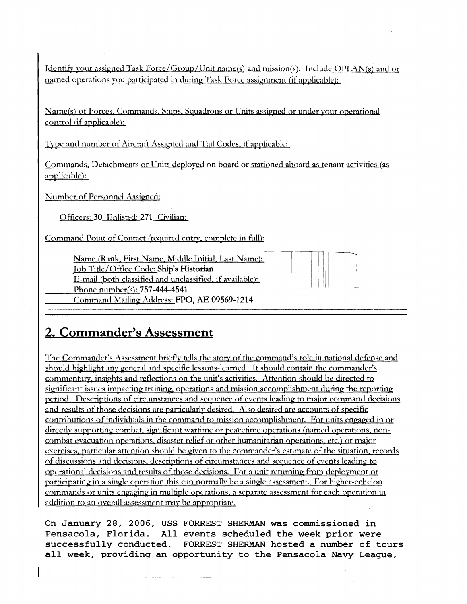Identify your assigned Task Force/Group/Unit name(s) and mission(s). Include OPLAN(s) and or named operations you participated in during Task Force assignment (if applicable):

Name(s) of Forces. Commands, Ships. Squadrons or Units assigned or under your operational control (if applicable):

Type and number of Aircraft Assigned and Tail Codes, if applicable:

Cominands. Detachments or Units deployed on board or stationed aboard as tenant activities (as applicable):

Number of Personnel Assigned:

Officers: 30 Enlisted: 271 Civilian:

Command Point of Contact (required entry, complete in full):

Name (Rank, First Name, Middle Initial, Last Name): Job 'l'itlc/Officc Code: **Ship's Historian**  E-mail (both classified and unclassified, if available): Phone number(s): 757-444-4541

Command Mailinp Address: FPO, AE **09569-1214** 

# **2. Commander's Assessment**

The Commander's Assessment briefly tells the story of the command's role in national defense and should highlight any general and specific lessons-learned. It should contain the commander's commentary, insights and reflections on the unit's activities. Attention should be directed to significant issues impacting training, operations and mission accomplishment during the reporting period. Descriptions of circumstances and sequence of events leading to major command decisions and results of those decisions are particularly desired. Also desired are accounts of specific contributions of individuals in the command to mission accomplishment. For units engaged in or directly supporting combat, significant wartime or peacetime operations (named operations, noncombat evacuation operations, disaster relief or other humanitarian operations, etc.) or major exercises, particular attention should be given to the commander's estimate of the situation, records of discussions and decisions, descriptions of circumstances and sequence of events leading to operational decisions and results of those decisions. For a unit returning from deployment or participating in a single operation this can normally be a single assessment. For higher-echelon commands or units engaging in multiple operations, a separate assessment for each operation in addition to an overall assessment may be appropriate.

**On January 28, 2006, USS FORREST SHERMAN was commissioned in Pensacola, Florida. All events scheduled the week prior were successfully conducted. FORREST SHERMAN hosted a number of tours all week, providing an opportunity to the Pensacola Navy League,**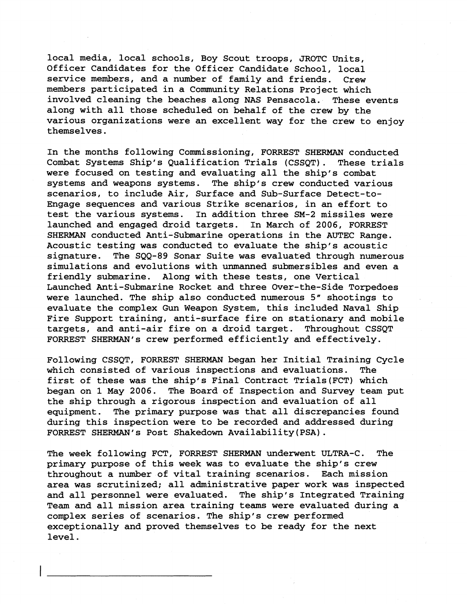local media, local schools, Boy Scout troops, JROTC Units, Officer Candidates for the Officer Candidate School, local service members, and a number of family and friends. Crew members participated in a Community Relations Project which involved cleaning the beaches along NAS Pensacola. These events along with all those scheduled on behalf of the crew by the various organizations were an excellent way for the crew to enjoy themselves.

In the months following Commissioning, FORREST SHERMAN conducted Combat Systems Ship's Qualification Trials (CSSQT) . These trials were focused on testing and evaluating all the ship's combat systems and weapons systems. The ship's crew conducted various scenarios, to include Air, Surface and Sub-surface Detect-to-Engage sequences and various Strike scenarios, in an effort to In addition three SM-2 missiles were launched and engaged droid targets. In March of 2006, FORREST SHERMAN conducted Anti-Submarine operations in the AUTEC Range. Acoustic testing was conducted to evaluate the ship's acoustic signature. The SQQ-89 Sonar Suite was evaluated through numerous simulations and evolutions with unmanned submersibles and even a friendly submarine. Along with these tests, one Vertical Launched Anti-Submarine Rocket and three Over-the-Side Torpedoes were launched. The ship also conducted numerous 5" shootings to evaluate the complex Gun Weapon System, this included Naval Ship Fire Support training, anti-surface fire on stationary and mobile targets, and anti-air fire on a droid target. Throughout CSSQT FORREST SHERMAN'S crew performed efficiently and effectively.

Following CSSQT, FORREST SHERMAN began her Initial Training Cycle which consisted of various inspections and evaluations. The first of these was the ship's Final Contract Trials(FCT) which began on 1 May 2006. The Board of Inspection and Survey team put the ship through a rigorous inspection and evaluation of all equipment. The primary purpose was that all discrepancies found during this inspection were to be recorded and addressed during FORREST SHERMAN'S Post Shakedown Availability(PSA).

The week following FCT, FORREST SHERMAN underwent ULTRA-C. The primary purpose of this week was to evaluate the ship's crew throughout a number of vital training scenarios. Each mission area was scrutinized; all administrative paper work was inspected and all personnel were evaluated. The ship's Integrated Training Team and all mission area training teams were evaluated during a complex series of scenarios. The ship's crew performed exceptionally and proved themselves to be ready for the next level.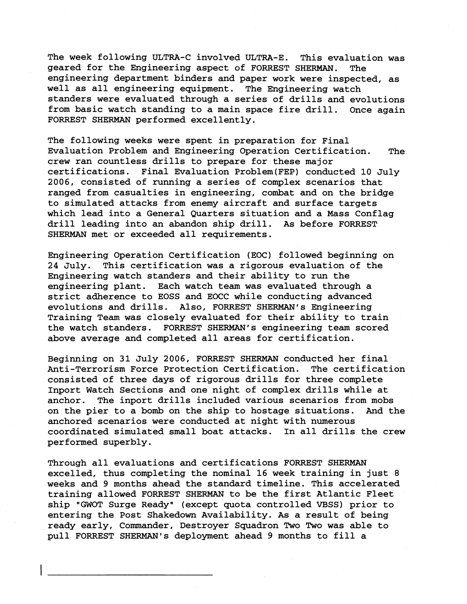The week following ULTRA-C involved ULTRA-E. This evaluation was geared for the Engineering aspect of FORREST SHERMAN. The engineering department binders and paper work were inspected, as well as all engineering equipment. The Engineering watch standers were evaluated through a series of drills and evolutions from basic watch standing to a main space fire drill. Once again FORREST SHERMAN performed excellently.

The following weeks were spent in preparation for Final Evaluation Problem and Engineering Operation Certification. The crew ran countless drills to prepare for these major certifications. Final Evaluation Problem(FEP) conducted 10 July 2006, consisted of running a series of complex scenarios that ranged from casualties in engineering, combat and on the bridge to simulated attacks from enemy aircraft and surface targets which lead into a General Quarters situation and a Mass Conflag drill leading into an abandon ship drill. As before FORREST SHERMAN met or exceeded all requirements.

Engineering Operation Certification (EOC) followed beginning on 24 July. This certification was a rigorous evaluation of the Engineering watch standers and their ability to run the engineering plant. Each watch team was evaluated through a strict adherence to EOSS and EOCC while conducting advanced evolutions and drills. Also, FORREST SHERMAN'S Engineering Training Team was closely evaluated for their ability to train the watch standers. FORREST SHERMAN'S engineering team scored above average and completed all areas for certification.

Beginning on 31 July 2006, FORREST SHERMAN conducted her final Anti-Terrorism Force Protection Certification. The certification consisted of three days of rigorous drills for three complete Inport Watch Sections and one night of complex drills while at anchor. The inport drills included various scenarios from mobs on the pier to a bomb on the ship to hostage situations. And the anchored scenarios were conducted at night with numerous coordinated simulated small boat attacks. In all drills the crew performed superbly.

Through all evaluations and certifications FORREST SHERMAN excelled, thus completing the nominal 16 week training in just 8 weeks and 9 months ahead the standard timeline. This accelerated training allowed FORREST SHERMAN to be the first Atlantic Fleet ship "GWOT Surge Ready" (except quota controlled VBSS) prior to entering the Post Shakedown Availability. As a result of being ready early, Commander, Destroyer Squadron Two Two was able to pull FORREST SHERMAN'S deployment ahead 9 months to fill a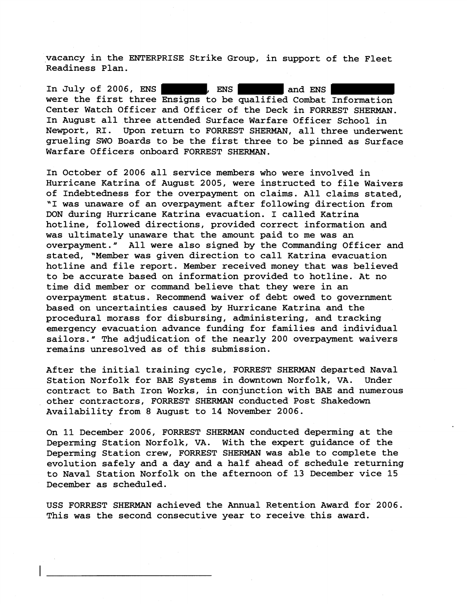vacancy in the ENTERPRISE Strike Group, in support of the Fleet Readiness Plan.

In July of 2006, ENS , ENS , ENS and ENS were the first three Ensigns to be qualified Combat Information Center Watch Officer and Officer of the Deck in FORREST SHERMAN. In August all three attended Surface Warfare Officer School in Newport, RI. Upon return to FORREST SHERMAN, all three underwent grueling SWO Boards to be the first three to be pinned as Surface Warfare Officers onboard FORREST SHERMAN.

In October of 2006 all service members who were involved in Hurricane Katrina of August 2005, were instructed to file Waivers of Indebtedness for the overpayment on claims. All claims stated, 'I was unaware of an overpayment after following direction from DON during Hurricane Katrina evacuation. I called Katrina hotline, followed directions, provided correct information and was ultimately unaware that the amount paid to me was an overpayment." All were also signed by the Commanding Officer and stated, "Member was given direction to call Katrina evacuation hotline and file report. Member received money that was believed to be accurate based on information provided to hotline. At no time did member or command believe that they were in an overpayment status. Recommend waiver of debt owed to government based on uncertainties caused by Hurricane Katrina and the procedural morass for disbursing, administering, and tracking emergency evacuation advance funding for families and individual sailors." The adjudication of the nearly 200 overpayment waivers remains unresolved as of this submission.

After the initial training cycle, FORREST SHERMAN departed Naval Station Norfolk for **BAE** Systems in downtown Norfolk, VA. Under contract to Bath Iron Works, in conjunction with BAE and numerous other contractors, FORREST SHERMAN conducted Post Shakedown Availability from 8 August to 14 November 2006.

On 11 December 2006, FORREST SHERMAN conducted deperming at the Deperming Station Norfolk, VA. With the expert guidance of the Deperming Station crew, FORREST SHERMAN was able to complete the evolution safely and a day and a half ahead of schedule returning to Naval Station Norfolk on the afternoon of 13 December vice 15 December as scheduled.

USS FORREST SHERMAN achieved the Annual Retention Award for 2006. This was the second consecutive year to receive this award.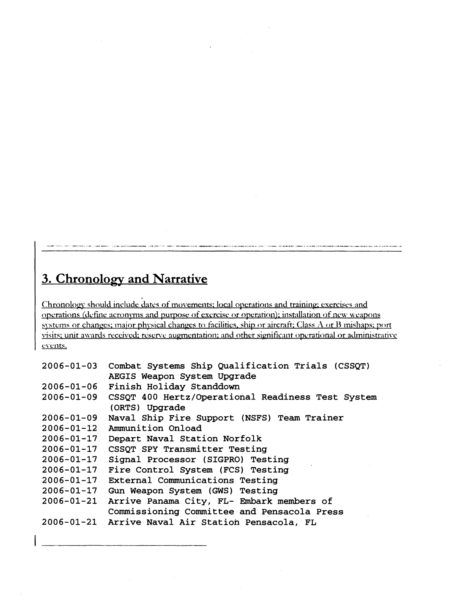## **3. Chronology and Narrative**

Chronology should include dates of movements; local operations and training; exercises and operations (define acronyms and purpose of exercise or operation); installation of new weapons systems or changes: major physical changes to facilities, ship or aircraft; Class A or B mishaps; port yisits; unit awards received; reserve augmentation; and other significant operational or administrative events.

```
2006 - 01 - 03Combat Systems Ship Qualification Trials (CSSQT) 
             AEGIS Weapon System Upgrade 
2006 - 01 - 06Finish Holiday Standdown 
2006 - 01 - 09CSSQT 400 Hertz/Operational Readiness Test System 
             (ORTS) Upgrade
2006 - 01 - 09Naval Ship Fire Support (NSFS) Team Trainer 
2006 - 01 - 12Ammunition Onload 
2006 - 01 - 17Depart Naval Station Norfolk 
             CSSQT SPY Transmitter Testing 
2006 - 01 - 172006 - 01 - 17Signal Processor (SIGPRO) Testing 
2006 - 01 - 17Fire Control System (FCS) Testing 
2006 - 01 - 17External Communications Testing 
2006 - 01 - 17Gun Weapon System (GWS) Testing 
2006 - 01 - 21Arrive Panama City, FL- Embark members of 
             Commissioning Committee and Pensacola Press 
2006 - 01 - 21Arrive Naval Air Station Pensacola, FL
```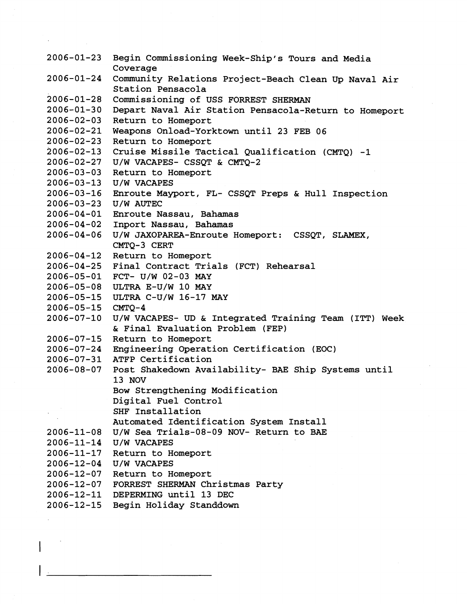Begin Commissioning Week-Ship's Tours and Media Coverage 2006-01-24 Community Relations Project-Beach Clean Up Naval Air Station Pensacola 2006-01-28 Commissioning of USS FORREST SHERMAN 2006-01-30 Depart Naval Air Station Pensacola-Return to Homeport 2006-02-03 Return to Homeport Weapons Onload-Yorktom until 23 FEB **06**  2006-02-23 Return to Homeport  $2006 - 02 - 13$  Cruise Missile Tactical Qualification (CMTO)  $-1$ U/W VACAPES- CSSQT & CMTQ-2 2006-03-03 Return to Homeport 2006-03-13 U/W VACAPES Enroute Mayport, FL- CSSQT Preps & Hull Inspection 2006-03-23 U/W AUTEC Enroute Nassau, Bahamas Inport Nassau, Bahamas U/W JAXOPAREA-Enroute Homeport: CSSQT, SLAMEX, CMTQ-3 CERT 2006-04-12 Return to Homeport 2006-04-25 Final Contract Trials (FCT) Rehearsal 2006-05-01 FCT- U/W 02-03 MAY 2006-05-08 ULTRA E-U/W 10 MAY 2006-05-15 ULTRA C-U/W 16-17 MAY  $2006 - 05 - 15$  CMTO-4 U/W VACAPES- UD & Integrated Training Team (ITT) Week & Final Evaluation Problem (FEP) 2006-07-15 Return to Homeport Engineering Operation Certification (EOC) 2006-07-31 ATFP Certification 2006-08-07 Post Shakedown Availability- BAE Ship Systems until 13 NOV Bow Strengthening Modification Digital Fuel Control SHF Installation Automated Identification System Install U/W Sea Trials-08-09 NOV- Return to BAE 2006-11-14 U/W VACAPES 2006-11-17 Return to Homeport 2006-12-04 U/W VACAPES 2006-12-07 Return to Homeport 2006-12-07 FORREST SHERMAN Christmas Party 2006-12-11 DEPERMING until 13 DEC 2006-12-15 Begin Holiday Standdown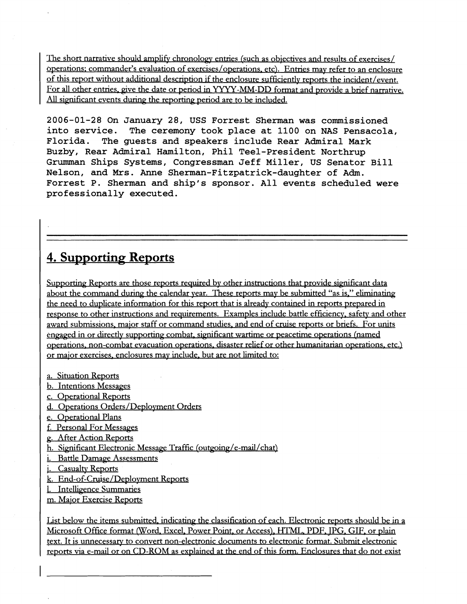The short narrative should amplify chronology entries (such as objectives and results of exercises/ operations; commander's evaluation of exercises/operations, etc). Entries may refer to an enclosure of this report without additional description if the enclosure sufficiently reports the incident/event. For all other entries, give the date or period in YYYY-MM-DD format and provide a brief narrative. All significant events during the reporting period are to be included.

**2006-01-28 On January 28, USS Forrest Sherman was commissioned into service. The ceremony took place at 1100 on NAS Pensacola, Florida. The guests and speakers include Rear Admiral Mark Buzby, Rear Admiral Hamilton, Phil Teel-President Northrup Grumman Ships Systems, Congressman Jeff Miller, US Senator Bill Nelson, and Mrs. Anne Sherman-Fitzpatrick-daughter of Adm. Forrest P. Sherman and ship's sponsor. All events scheduled were professionally executed.** 

# 4. Supporting Reports

Supporting Reports are those reports required by other instructions that provide significant data about the command during the calendar year. These reports may be submitted "as is," eliminating the need to duplicate information for this report that is already contained in reports prepared in response to other instructions and requirements. Examples include battle efficiency, safety and other award submissions, major staff or command studies, and end of cruise reports or briefs. For units engaged in or directly supporting combat, significant wartime or peacetime operations (named operations, non-combat evacuation operations, disaster relief or other humanitarian operations, etc.) or maior exercises. enclosures mav include. but are not limited to:

- a. Situation Reports
- b. Intentions Messapes
- c. Operational Reports
- d. Operations Orders/Deployment Orders
- e. Operational Plans
- f. Personal For Messapes
- g. After Action Reports
- h. Significant Electronic Message Traffic (outgoing/e-mail/chat)
- i. Battle Damage Assessments
- j. Casualty Reports
- k. End-of-Cruise/Deployment Reports
- 1. Intelligence Summaries
- m. Major Exercise Reports

List below the items submitted, indicating the classification of each. Electronic reports should be in a Microsoft Office format (Word. Excel. Power Point. or Access). HTML. PDF. TPG. GIF. or Dlain text. It is unnecessarv to convert non-electronic documents **to** electronic format. Submit electronic reports via e-mail or on CD-ROM as explained at the end of this form. Enclosures that do not exist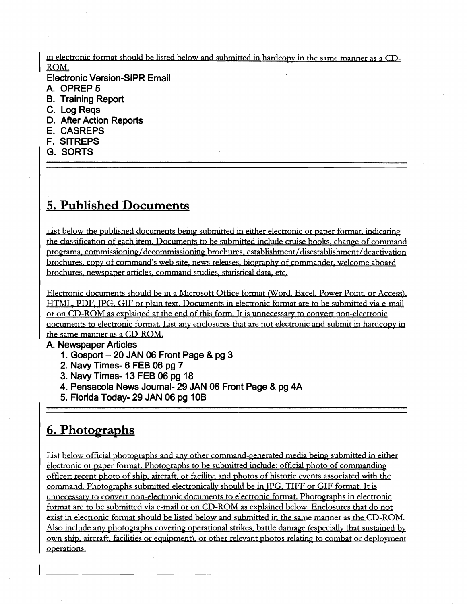in electronic format should be listed below and submitted in hardcopy in the same manner as a CD-ROM.

**Electronic Version-SIPR Email** 

- **A. OPREP 5**
- **B. Training Report**
- **C. Log Reqs**
- **D. After Action Reports**
- **E. CASREPS**
- **F. SITREPS**
- **G. SORTS**

# **5. Published Documents**

List below the published documents being submitted in either electronic or paper format, indicating the classification of each item. Documents to be submitted include cruise books, change of command programs. commissioning/decommissioning brochures. establishment/disestablishment/deactivation brochures, copy of command's web site, news releases, biography of commander, welcome aboard brochures. newspaper articles. command studies. statistical data. etc.

Electronic documents should be in a Microsoft Office format (Word, Excel, Power Point, or Access), HTML. PDF. JPG. GIF or plain text. Documents in electronic format are to be submitted via e-mail or on CD-ROM as explained at the end of this form. It is unnecessary to convert non-electronic documents to electronic format. List any enclosures that are not electronic and submit in hardcopy in the same manner as a CD-ROM.

## **A. Newspaper Articles**

- **1. Gosport 20 JAN 06 Front Page** & **pg 3**
- **2. Navy Times- 6 FEB 06 pg 7**
- **3. Navy Times- 13 FEB 06 pg 18**
- **4. Pensacola News Journal- 29 JAN 06 Front Page** & **pg 4A**
- **5. Florida Today- 29 JAN 06 pg 10B**

# **6. Photographs**

List below official photographs and any other command-generated media being submitted in either electronic or paper format. Photographs to be submitted include: official photo of commanding officer; recent photo of ship, aircraft, or facility: and photos of historic events associated with the command. Photographs submitted electronically should be in IPG. TIFF or GIF format. It is unnecessary to convert non-electronic documents to electronic format. Photographs in electronic format are to be submitted via e-mail or on CD-ROM as explained below. Enclosures that do not exist in electronic format should be listed below and submitted in the same manner as the CD-ROM. Also include any photographs covering operational strikes, battle damage (especially that sustained by own ship, aircraft, facilities or equipment), or other relevant photos relating to combat or deployment operations.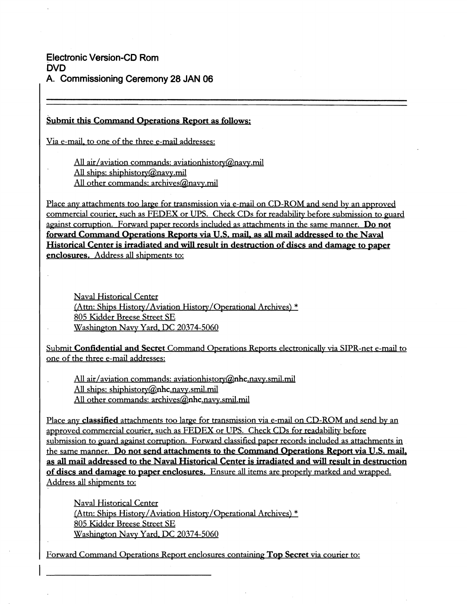**Electronic Version-CD Rom DVD A. Commissioning Ceremony 28 JAN 06** 

I

I

### Submit this Command Operations Report as follows:

Via e-mail. to one of the three e-mail addresses:

All air/aviation commands: aviationhistory@navy.mil All ships: shiphistory@navy.mil All other commands: archives@navy.mil

Place any attachments too large for transmission via e-mail on CD-ROM and send by an approved commercial courier, such as FEDEX or UPS. Check CDs for readability before submission to guard against corruption. Forward paper records included as attachments in the same manner. Do not forward Command Operations Reports via U.S. mail. as **all** mail addressed to the Naval Historical Center is irradiated and will result in destruction of discs and damage to paper enclosures. Address all shipments to:

Naval Historical Center (Attn: Ships History/Aviation History/Operational Archives) \* 805 Kidder Breese Street SE Washington Navy Yard, DC 20374-5060

Submit Confidential and Secret Command Operations Reports electronically via SIPR-net e-mail to one of the three e-mail addresses:

All air/aviation commands: aviationhistory@nhc.navy.smil.mil All ships: shiphistory@nhc.navy.smil.mil All other commands:  $\archives@<sub>n</sub>hc.navy.smil.mil.$ 

Place any classified attachments too large for transmission via e-mail on CD-ROM and send by an approved commercial courier, such as FEDEX or UPS. Check CDs for readability before submission to guard against corruption. Forward classified paper records included as attachments in the same manner. Do not send attachments to the Command Operations Report via U.S. mail, as all mail addressed to the Naval Historical Center is irradiated and **will** result in destruction of discs and damage to paper enclosures. Ensure all items are properly marked and wrapped. Address all shipments to:

Naval Historical Center (Attn: Ships History/Aviation History/Operational Archives) \* 805 Kidder Breese Street SE Washington Navy Yard, DC 20374-5060

Forward Command Operations Report enclosures containing Top Secret via courier to: